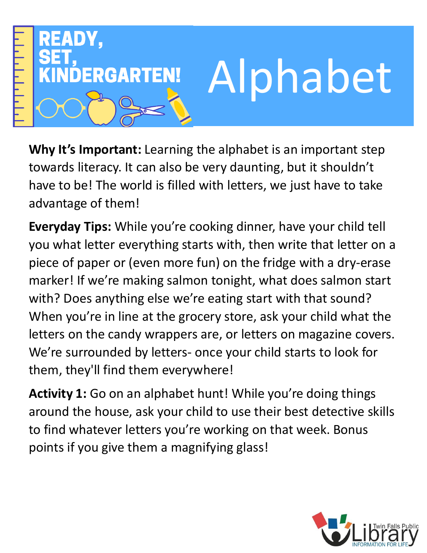

**Why It's Important:** Learning the alphabet is an important step towards literacy. It can also be very daunting, but it shouldn't have to be! The world is filled with letters, we just have to take advantage of them!

**Everyday Tips:** While you're cooking dinner, have your child tell you what letter everything starts with, then write that letter on a piece of paper or (even more fun) on the fridge with a dry-erase marker! If we're making salmon tonight, what does salmon start with? Does anything else we're eating start with that sound? When you're in line at the grocery store, ask your child what the letters on the candy wrappers are, or letters on magazine covers. We're surrounded by letters- once your child starts to look for them, they'll find them everywhere!

**Activity 1:** Go on an alphabet hunt! While you're doing things around the house, ask your child to use their best detective skills to find whatever letters you're working on that week. Bonus points if you give them a magnifying glass!